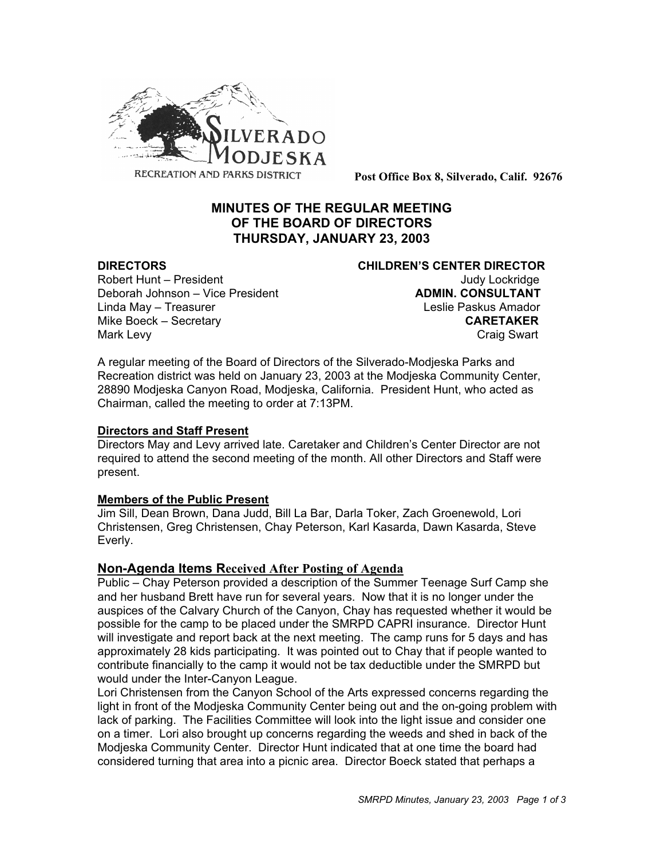

**Post Office Box 8, Silverado, Calif. 92676**

# **MINUTES OF THE REGULAR MEETING OF THE BOARD OF DIRECTORS THURSDAY, JANUARY 23, 2003**

## **DIRECTORS CHILDREN'S CENTER DIRECTOR**

Robert Hunt – President View March 1999 and Judy Lockridge Deborah Johnson – Vice President **ADMIN. CONSULTANT** Linda May – Treasurer Leslie Paskus Amador Mike Boeck – Secretary **CARETAKER** Mark Levy **Craig Swart** 

A regular meeting of the Board of Directors of the Silverado-Modjeska Parks and Recreation district was held on January 23, 2003 at the Modjeska Community Center, 28890 Modjeska Canyon Road, Modjeska, California. President Hunt, who acted as Chairman, called the meeting to order at 7:13PM.

#### **Directors and Staff Present**

Directors May and Levy arrived late. Caretaker and Children's Center Director are not required to attend the second meeting of the month. All other Directors and Staff were present.

#### **Members of the Public Present**

Jim Sill, Dean Brown, Dana Judd, Bill La Bar, Darla Toker, Zach Groenewold, Lori Christensen, Greg Christensen, Chay Peterson, Karl Kasarda, Dawn Kasarda, Steve Everly.

## **Non-Agenda Items Received After Posting of Agenda**

Public – Chay Peterson provided a description of the Summer Teenage Surf Camp she and her husband Brett have run for several years. Now that it is no longer under the auspices of the Calvary Church of the Canyon, Chay has requested whether it would be possible for the camp to be placed under the SMRPD CAPRI insurance. Director Hunt will investigate and report back at the next meeting. The camp runs for 5 days and has approximately 28 kids participating. It was pointed out to Chay that if people wanted to contribute financially to the camp it would not be tax deductible under the SMRPD but would under the Inter-Canyon League.

Lori Christensen from the Canyon School of the Arts expressed concerns regarding the light in front of the Modjeska Community Center being out and the on-going problem with lack of parking. The Facilities Committee will look into the light issue and consider one on a timer. Lori also brought up concerns regarding the weeds and shed in back of the Modjeska Community Center. Director Hunt indicated that at one time the board had considered turning that area into a picnic area. Director Boeck stated that perhaps a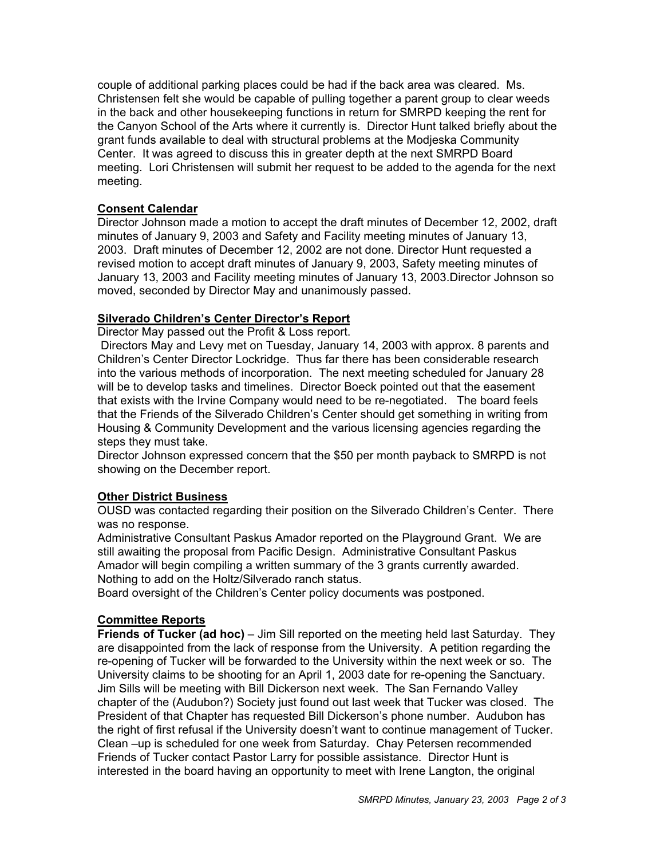couple of additional parking places could be had if the back area was cleared. Ms. Christensen felt she would be capable of pulling together a parent group to clear weeds in the back and other housekeeping functions in return for SMRPD keeping the rent for the Canyon School of the Arts where it currently is. Director Hunt talked briefly about the grant funds available to deal with structural problems at the Modjeska Community Center. It was agreed to discuss this in greater depth at the next SMRPD Board meeting. Lori Christensen will submit her request to be added to the agenda for the next meeting.

#### **Consent Calendar**

Director Johnson made a motion to accept the draft minutes of December 12, 2002, draft minutes of January 9, 2003 and Safety and Facility meeting minutes of January 13, 2003. Draft minutes of December 12, 2002 are not done. Director Hunt requested a revised motion to accept draft minutes of January 9, 2003, Safety meeting minutes of January 13, 2003 and Facility meeting minutes of January 13, 2003.Director Johnson so moved, seconded by Director May and unanimously passed.

## **Silverado Children's Center Director's Report**

Director May passed out the Profit & Loss report.

 Directors May and Levy met on Tuesday, January 14, 2003 with approx. 8 parents and Children's Center Director Lockridge. Thus far there has been considerable research into the various methods of incorporation. The next meeting scheduled for January 28 will be to develop tasks and timelines. Director Boeck pointed out that the easement that exists with the Irvine Company would need to be re-negotiated. The board feels that the Friends of the Silverado Children's Center should get something in writing from Housing & Community Development and the various licensing agencies regarding the steps they must take.

Director Johnson expressed concern that the \$50 per month payback to SMRPD is not showing on the December report.

#### **Other District Business**

OUSD was contacted regarding their position on the Silverado Children's Center. There was no response.

Administrative Consultant Paskus Amador reported on the Playground Grant. We are still awaiting the proposal from Pacific Design. Administrative Consultant Paskus Amador will begin compiling a written summary of the 3 grants currently awarded. Nothing to add on the Holtz/Silverado ranch status.

Board oversight of the Children's Center policy documents was postponed.

#### **Committee Reports**

**Friends of Tucker (ad hoc)** – Jim Sill reported on the meeting held last Saturday. They are disappointed from the lack of response from the University. A petition regarding the re-opening of Tucker will be forwarded to the University within the next week or so. The University claims to be shooting for an April 1, 2003 date for re-opening the Sanctuary. Jim Sills will be meeting with Bill Dickerson next week. The San Fernando Valley chapter of the (Audubon?) Society just found out last week that Tucker was closed. The President of that Chapter has requested Bill Dickerson's phone number. Audubon has the right of first refusal if the University doesn't want to continue management of Tucker. Clean –up is scheduled for one week from Saturday. Chay Petersen recommended Friends of Tucker contact Pastor Larry for possible assistance. Director Hunt is interested in the board having an opportunity to meet with Irene Langton, the original